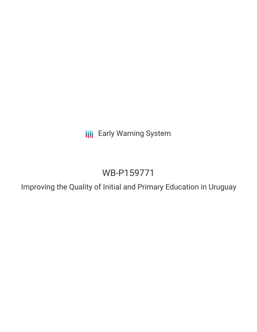**III** Early Warning System

# WB-P159771

Improving the Quality of Initial and Primary Education in Uruguay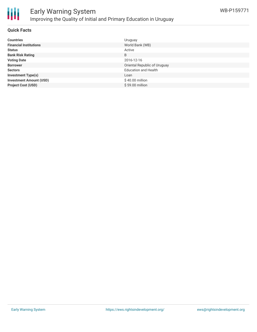

### **Quick Facts**

| <b>Countries</b>               | Uruguay                      |
|--------------------------------|------------------------------|
| <b>Financial Institutions</b>  | World Bank (WB)              |
| <b>Status</b>                  | Active                       |
| <b>Bank Risk Rating</b>        | B                            |
| <b>Voting Date</b>             | 2016-12-16                   |
| <b>Borrower</b>                | Oriental Republic of Uruguay |
| <b>Sectors</b>                 | <b>Education and Health</b>  |
| <b>Investment Type(s)</b>      | Loan                         |
| <b>Investment Amount (USD)</b> | \$40.00 million              |
| <b>Project Cost (USD)</b>      | \$59.00 million              |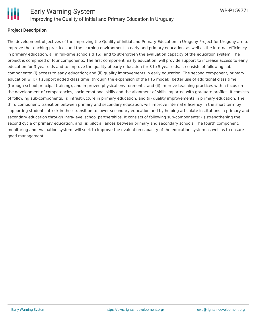

# **Project Description**

The development objectives of the Improving the Quality of Initial and Primary Education in Uruguay Project for Uruguay are to improve the teaching practices and the learning environment in early and primary education, as well as the internal efficiency in primary education, all in full-time schools (FTS), and to strengthen the evaluation capacity of the education system. The project is comprised of four components. The first component, early education, will provide support to increase access to early education for 3-year olds and to improve the quality of early education for 3 to 5 year olds. It consists of following subcomponents: (i) access to early education; and (ii) quality improvements in early education. The second component, primary education will: (i) support added class time (through the expansion of the FTS model), better use of additional class time (through school principal training), and improved physical environments; and (ii) improve teaching practices with a focus on the development of competencies, socio-emotional skills and the alignment of skills imparted with graduate profiles. It consists of following sub-components: (i) infrastructure in primary education; and (ii) quality improvements in primary education. The third component, transition between primary and secondary education, will improve internal efficiency in the short term by supporting students at-risk in their transition to lower secondary education and by helping articulate institutions in primary and secondary education through intra-level school partnerships. It consists of following sub-components: (i) strengthening the second cycle of primary education; and (ii) pilot alliances between primary and secondary schools. The fourth component, monitoring and evaluation system, will seek to improve the evaluation capacity of the education system as well as to ensure good management.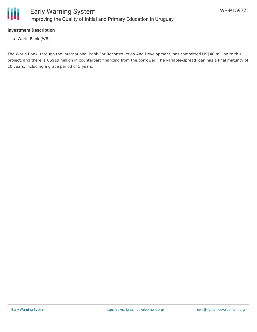

# **Investment Description**

World Bank (WB)

The World Bank, through the International Bank For Reconstruction And Development, has committed US\$40 million to this project, and there is US\$19 million in counterpart financing from the borrower. The variable–spread loan has a final maturity of 10 years, including a grace period of 5 years.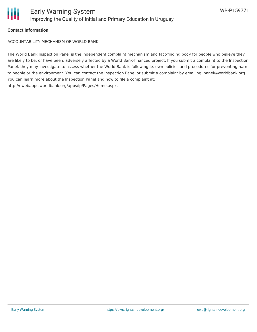

## **Contact Information**

ACCOUNTABILITY MECHANISM OF WORLD BANK

The World Bank Inspection Panel is the independent complaint mechanism and fact-finding body for people who believe they are likely to be, or have been, adversely affected by a World Bank-financed project. If you submit a complaint to the Inspection Panel, they may investigate to assess whether the World Bank is following its own policies and procedures for preventing harm to people or the environment. You can contact the Inspection Panel or submit a complaint by emailing ipanel@worldbank.org. You can learn more about the Inspection Panel and how to file a complaint at: http://ewebapps.worldbank.org/apps/ip/Pages/Home.aspx.